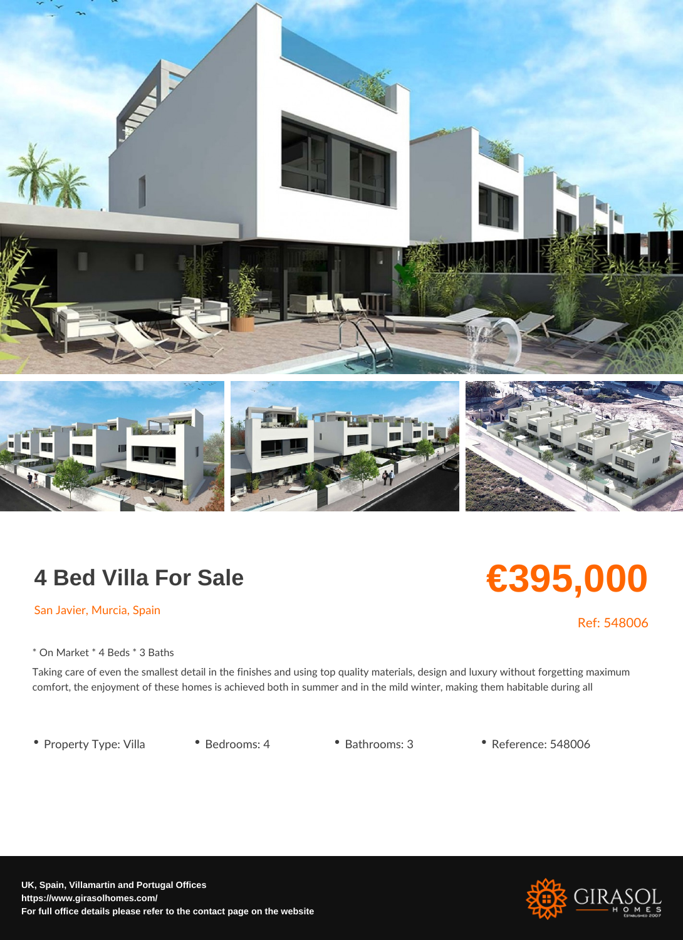## 4 Bed Villa For Sale

San Javier, Murcia, Spain

\* On Market \* 4 Beds \* 3 Baths

Taking care of even the smallest detail in the finishes and using top quality materials, comfort, the enjoyment of these homes is achieved both in summer and in the mild winte

• Property Type: VillaBedrooms: 4 • Bathrooms: 3 • Reference: 548006

€395,000

Ref: 548006